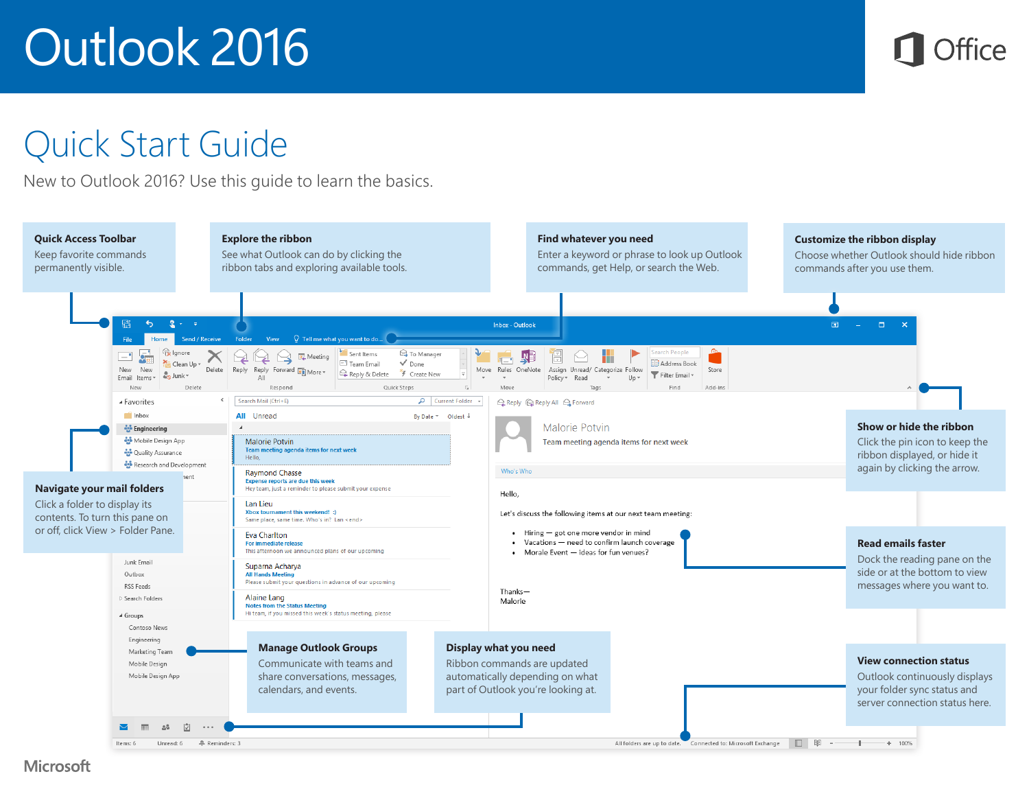

### Quick Start Guide

New to Outlook 2016? Use this guide to learn the basics.

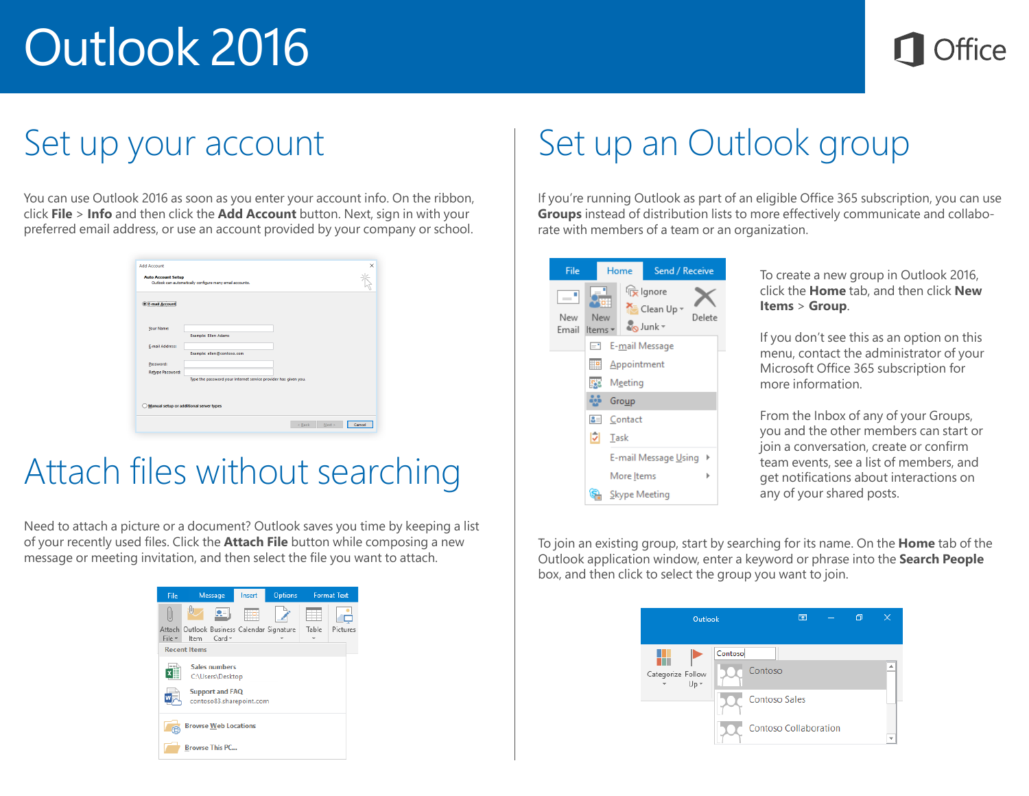

### Set up your account

You can use Outlook 2016 as soon as you enter your account info. On the ribbon, click **File** > **Info** and then click the **Add Account** button. Next, sign in with your preferred email address, or use an account provided by your company or school.

| <b>E-mail Account</b>                   |                                                                 |  |
|-----------------------------------------|-----------------------------------------------------------------|--|
|                                         |                                                                 |  |
| Your Name:                              |                                                                 |  |
|                                         | <b>Example: Ellen Adams</b>                                     |  |
| E-mail Address:                         | Example: ellen@contoso.com                                      |  |
|                                         |                                                                 |  |
| Password:<br><b>Retype Password:</b>    |                                                                 |  |
|                                         | Type the password your Internet service provider has given you. |  |
|                                         |                                                                 |  |
| Manual setup or additional server types |                                                                 |  |

### Attach files without searching

Need to attach a picture or a document? Outlook saves you time by keeping a list of your recently used files. Click the **Attach File** button while composing a new message or meeting invitation, and then select the file you want to attach.



## Set up an Outlook group

If you're running Outlook as part of an eligible Office 365 subscription, you can use **Groups** instead of distribution lists to more effectively communicate and collaborate with members of a team or an organization.

| File         |                     | Home                  | Send / Receive                      |        |
|--------------|---------------------|-----------------------|-------------------------------------|--------|
| New<br>Email | ╗<br>New<br>Items * |                       | re Ignore<br>Clean Up -<br>o Junk - | Delete |
|              | $\equiv$            |                       | E-mail Message                      |        |
|              |                     | <b>ED</b> Appointment |                                     |        |
|              |                     | <b>Fest</b> Meeting   |                                     |        |
|              |                     | <b>ALL</b> Group      |                                     |        |
|              |                     | $\mathbf{a}$ Contact  |                                     |        |
|              | M                   | Task                  |                                     |        |
|              |                     |                       | E-mail Message Using                |        |
|              |                     | More Items            |                                     | ь      |
|              |                     |                       | Skype Meeting                       |        |

To create a new group in Outlook 2016, click the **Home** tab, and then click **New Items** > **Group**.

If you don't see this as an option on this menu, contact the administrator of your Microsoft Office 365 subscription for more information.

From the Inbox of any of your Groups, you and the other members can start or join a conversation, create or confirm team events, see a list of members, and get notifications about interactions on any of your shared posts.

To join an existing group, start by searching for its name. On the **Home** tab of the Outlook application window, enter a keyword or phrase into the **Search People** box, and then click to select the group you want to join.

| Outlook                   |                                            | 囨                            | 门 |  |
|---------------------------|--------------------------------------------|------------------------------|---|--|
| Categorize Follow<br>Up - | Contoso<br>Contoso<br><b>Contoso Sales</b> | <b>Contoso Collaboration</b> |   |  |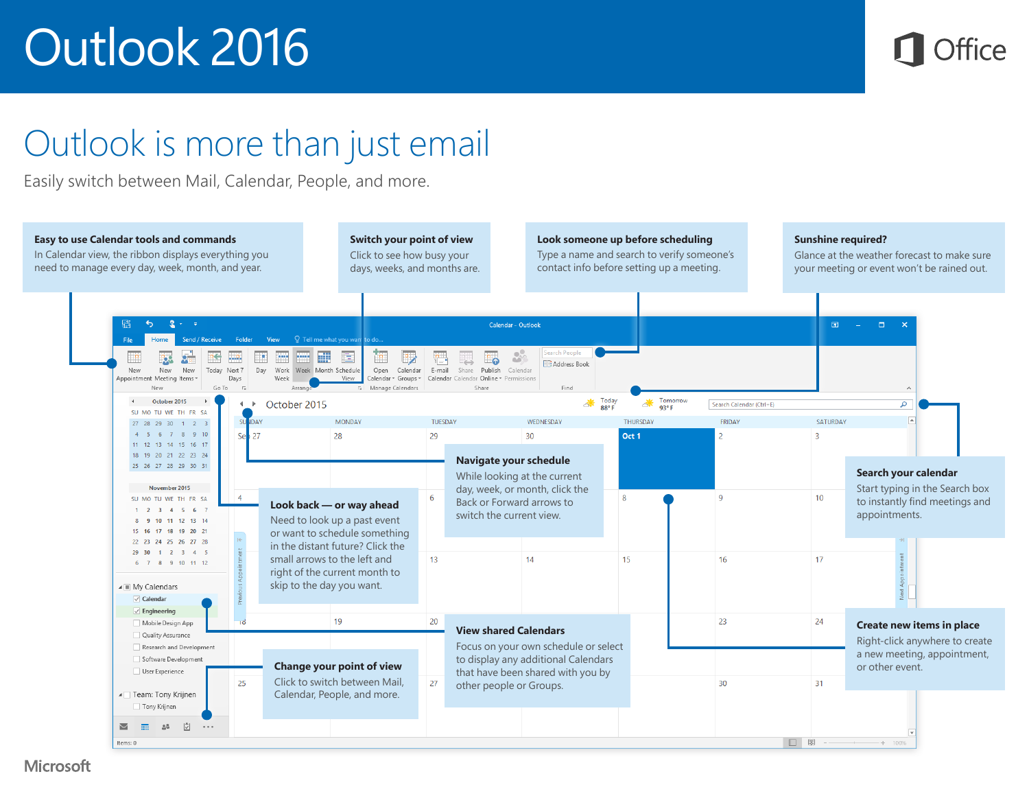

### Outlook is more than just email

Easily switch between Mail, Calendar, People, and more.